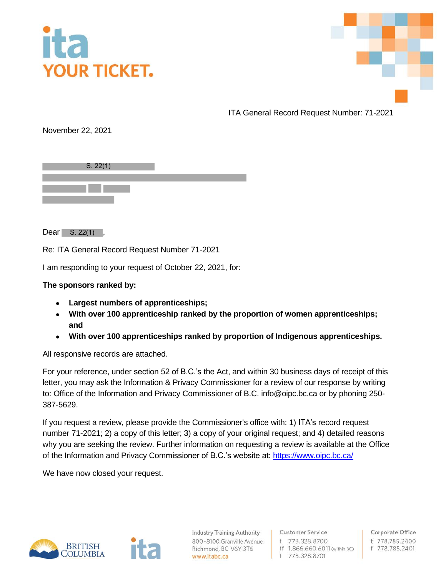



ITA General Record Request Number: 71-2021

November 22, 2021

| S. 22(1) |  |
|----------|--|
|          |  |
|          |  |
|          |  |

 $Dear$  S. 22(1),

Re: ITA General Record Request Number 71-2021

I am responding to your request of October 22, 2021, for:

## **The sponsors ranked by:**

- **Largest numbers of apprenticeships;**
- **With over 100 apprenticeship ranked by the proportion of women apprenticeships; and**
- **With over 100 apprenticeships ranked by proportion of Indigenous apprenticeships.**

All responsive records are attached.

For your reference, under section 52 of B.C.'s the Act, and within 30 business days of receipt of this letter, you may ask the Information & Privacy Commissioner for a review of our response by writing to: Office of the Information and Privacy Commissioner of B.C. info@oipc.bc.ca or by phoning 250- 387-5629.

If you request a review, please provide the Commissioner's office with: 1) ITA's record request number 71-2021; 2) a copy of this letter; 3) a copy of your original request; and 4) detailed reasons why you are seeking the review. Further information on requesting a review is available at the Office of the Information and Privacy Commissioner of B.C.'s website at[: https://www.oipc.bc.ca/](https://www.oipc.bc.ca/)

We have now closed your request.



**Industry Training Authority** 800-8100 Granville Avenue Richmond, BC V6Y 3T6 www.itabc.ca

**Customer Service** t 778.328.8700 tf 1.866.660.6011 (within BC) f 778.328.8701

Corporate Office t 778.785.2400 f 778.785.2401